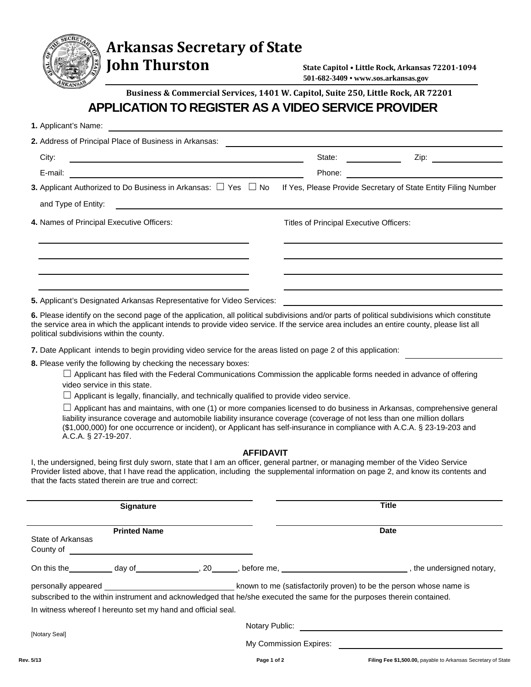## **Arkansas Secretary of State**

**John Thurston** 

**State Capitol • Little Rock, Arkansas 72201-1094 501-682-3409 • www.sos.arkansas.gov**

**Business & Commercial Services, 1401 W. Capitol, Suite 250, Little Rock, AR 72201**

## **APPLICATION TO REGISTER AS A VIDEO SERVICE PROVIDER**

| 1. Applicant's Name: |                                                                                                                      |  |                  |                                         |                                                                                                                                                                                                                                                                                                                                                                                      |  |
|----------------------|----------------------------------------------------------------------------------------------------------------------|--|------------------|-----------------------------------------|--------------------------------------------------------------------------------------------------------------------------------------------------------------------------------------------------------------------------------------------------------------------------------------------------------------------------------------------------------------------------------------|--|
|                      | 2. Address of Principal Place of Business in Arkansas:                                                               |  |                  |                                         |                                                                                                                                                                                                                                                                                                                                                                                      |  |
| City:                | <u> Andreas Andreas Andreas Andreas Andreas Andreas Andreas Andreas Andreas Andreas Andreas Andreas Andreas Andr</u> |  |                  | State:                                  | Zip:                                                                                                                                                                                                                                                                                                                                                                                 |  |
| E-mail:              |                                                                                                                      |  |                  | Phone:                                  |                                                                                                                                                                                                                                                                                                                                                                                      |  |
|                      | 3. Applicant Authorized to Do Business in Arkansas: $\Box$ Yes $\Box$ No                                             |  |                  |                                         | If Yes, Please Provide Secretary of State Entity Filing Number                                                                                                                                                                                                                                                                                                                       |  |
| and Type of Entity:  |                                                                                                                      |  |                  |                                         |                                                                                                                                                                                                                                                                                                                                                                                      |  |
|                      | 4. Names of Principal Executive Officers:                                                                            |  |                  | Titles of Principal Executive Officers: |                                                                                                                                                                                                                                                                                                                                                                                      |  |
|                      |                                                                                                                      |  |                  |                                         |                                                                                                                                                                                                                                                                                                                                                                                      |  |
|                      | 5. Applicant's Designated Arkansas Representative for Video Services:                                                |  |                  |                                         |                                                                                                                                                                                                                                                                                                                                                                                      |  |
|                      | political subdivisions within the county.                                                                            |  |                  |                                         | 6. Please identify on the second page of the application, all political subdivisions and/or parts of political subdivisions which constitute<br>the service area in which the applicant intends to provide video service. If the service area includes an entire county, please list all                                                                                             |  |
|                      | 7. Date Applicant intends to begin providing video service for the areas listed on page 2 of this application:       |  |                  |                                         |                                                                                                                                                                                                                                                                                                                                                                                      |  |
|                      | 8. Please verify the following by checking the necessary boxes:                                                      |  |                  |                                         |                                                                                                                                                                                                                                                                                                                                                                                      |  |
|                      | video service in this state.                                                                                         |  |                  |                                         | $\Box$ Applicant has filed with the Federal Communications Commission the applicable forms needed in advance of offering                                                                                                                                                                                                                                                             |  |
|                      | $\Box$ Applicant is legally, financially, and technically qualified to provide video service.                        |  |                  |                                         |                                                                                                                                                                                                                                                                                                                                                                                      |  |
|                      | A.C.A. § 27-19-207.                                                                                                  |  |                  |                                         | $\Box$ Applicant has and maintains, with one (1) or more companies licensed to do business in Arkansas, comprehensive general<br>liability insurance coverage and automobile liability insurance coverage (coverage of not less than one million dollars<br>(\$1,000,000) for one occurrence or incident), or Applicant has self-insurance in compliance with A.C.A. § 23-19-203 and |  |
|                      |                                                                                                                      |  | <b>AFFIDAVIT</b> |                                         |                                                                                                                                                                                                                                                                                                                                                                                      |  |
|                      | that the facts stated therein are true and correct:                                                                  |  |                  |                                         | I, the undersigned, being first duly sworn, state that I am an officer, general partner, or managing member of the Video Service<br>Provider listed above, that I have read the application, including the supplemental information on page 2, and know its contents and                                                                                                             |  |
|                      | <b>Signature</b>                                                                                                     |  |                  |                                         | <b>Title</b>                                                                                                                                                                                                                                                                                                                                                                         |  |
| State of Arkansas    | <b>Printed Name</b>                                                                                                  |  |                  |                                         | <b>Date</b>                                                                                                                                                                                                                                                                                                                                                                          |  |
|                      |                                                                                                                      |  |                  |                                         |                                                                                                                                                                                                                                                                                                                                                                                      |  |
|                      |                                                                                                                      |  |                  |                                         | subscribed to the within instrument and acknowledged that he/she executed the same for the purposes therein contained.                                                                                                                                                                                                                                                               |  |
|                      | In witness whereof I hereunto set my hand and official seal.                                                         |  |                  |                                         |                                                                                                                                                                                                                                                                                                                                                                                      |  |
| [Notary Seal]        |                                                                                                                      |  |                  |                                         |                                                                                                                                                                                                                                                                                                                                                                                      |  |
|                      |                                                                                                                      |  |                  |                                         |                                                                                                                                                                                                                                                                                                                                                                                      |  |
| Rev. 5/13            |                                                                                                                      |  |                  | Page 1 of 2                             | Filing Fee \$1,500.00, payable to Arkansas Secretary of State                                                                                                                                                                                                                                                                                                                        |  |